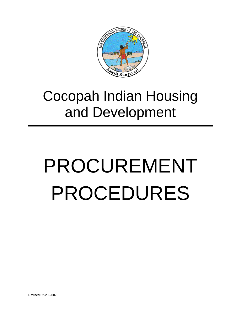

# Cocopah Indian Housing and Development

# PROCUREMENT PROCEDURES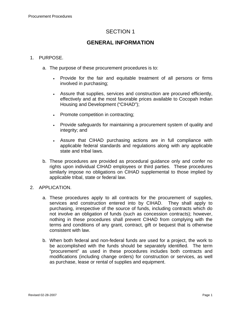# **GENERAL INFORMATION**

#### 1. PURPOSE.

- a. The purpose of these procurement procedures is to:
	- Provide for the fair and equitable treatment of all persons or firms involved in purchasing;
	- Assure that supplies, services and construction are procured efficiently, effectively and at the most favorable prices available to Cocopah Indian Housing and Development ("CIHAD");
	- Promote competition in contracting;
	- Provide safeguards for maintaining a procurement system of quality and integrity; and
	- Assure that CIHAD purchasing actions are in full compliance with applicable federal standards and regulations along with any applicable state and tribal laws.
- b. These procedures are provided as procedural guidance only and confer no rights upon individual CIHAD employees or third parties. These procedures similarly impose no obligations on CIHAD supplemental to those implied by applicable tribal, state or federal law.

#### 2. APPLICATION.

- a. These procedures apply to all contracts for the procurement of supplies, services and construction entered into by CIHAD. They shall apply to purchasing, irrespective of the source of funds, including contracts which do not involve an obligation of funds (such as concession contracts); however, nothing in these procedures shall prevent CIHAD from complying with the terms and conditions of any grant, contract, gift or bequest that is otherwise consistent with law.
- b. When both federal and non-federal funds are used for a project, the work to be accomplished with the funds should be separately identified. The term "procurement" as used in these procedures includes both contracts and modifications (including change orders) for construction or services, as well as purchase, lease or rental of supplies and equipment.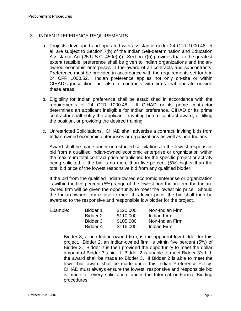#### 3. INDIAN PREFERENCE REQUIREMENTS.

- a. Projects developed and operated with assistance under 24 CFR 1000.48, et al, are subject to Section 7(b) of the Indian Self-determination and Education Assistance Act (25 U.S.C. 450e(b)). Section 7(b) provides that to the greatest extent feasible, preference shall be given to Indian organizations and Indianowned economic enterprises in the award of all contracts and subcontracts. Preference must be provided in accordance with the requirements set forth in 24 CFR 1000.52. Indian preference applies not only on-site or within CIHAD's jurisdiction, but also to contracts with firms that operate outside these areas.
- b. Eligibility for Indian preference shall be established in accordance with the requirements of 24 CFR 1000.48. If CIHAD or its prime contractor determines an applicant ineligible for Indian preference, CIHAD or its prime contractor shall notify the applicant in writing before contract award, or filling the position, or providing the desired training.
- c. Unrestricted Solicitations. CIHAD shall advertise a contract, inviting bids from Indian-owned economic enterprises or organizations as well as non-Indians.

Award shall be made under unrestricted solicitations to the lowest responsive bid from a qualified Indian-owned economic enterprise or organization within the maximum total contract price established for the specific project or activity being solicited, if the bid is no more than five percent (5%) higher than the total bid price of the lowest responsive bid from any qualified bidder.

If the bid from the qualified Indian-owned economic enterprise or organization is within the five percent (5%) range of the lowest non-Indian firm, the Indianowned firm will be given the opportunity to meet the lowest bid price. Should the Indian-owned firm refuse to meet this lower price, the bid shall then be awarded to the responsive and responsible low bidder for the project.

| Example: | Bidder 1 | \$120,000 | Non-Indian Firm |
|----------|----------|-----------|-----------------|
|          | Bidder 2 | \$110,000 | Indian Firm     |
|          | Bidder 3 | \$105,000 | Non-Indian Firm |
|          | Bidder 4 | \$116,000 | Indian Firm     |

Bidder 3, a non-Indian-owned firm, is the apparent low bidder for this project. Bidder 2, an Indian-owned firm, is within five percent (5%) of Bidder 3. Bidder 2 is then provided the opportunity to meet the dollar amount of Bidder 3's bid. If Bidder 2 is unable to meet Bidder 3's bid, the award shall be made to Bidder 3. If Bidder 2 is able to meet the lower bid, award shall be made under this Indian Preference Policy. CIHAD must always ensure the lowest, responsive and responsible bid is made for every solicitation, under the Informal or Formal Bidding procedures.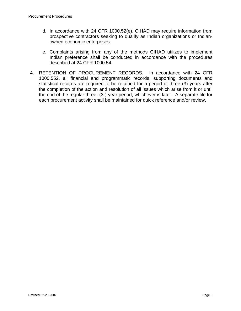- d. In accordance with 24 CFR 1000.52(e), CIHAD may require information from prospective contractors seeking to qualify as Indian organizations or Indianowned economic enterprises.
- e. Complaints arising from any of the methods CIHAD utilizes to implement Indian preference shall be conducted in accordance with the procedures described at 24 CFR 1000.54.
- 4. RETENTION OF PROCUREMENT RECORDS. In accordance with 24 CFR 1000.552, all financial and programmatic records, supporting documents and statistical records are required to be retained for a period of three (3) years after the completion of the action and resolution of all issues which arise from it or until the end of the regular three- (3-) year period, whichever is later. A separate file for each procurement activity shall be maintained for quick reference and/or review.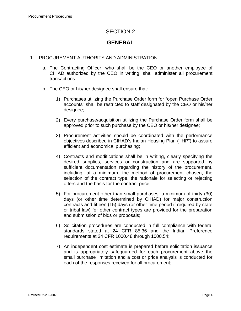# **GENERAL**

#### 1. PROCUREMENT AUTHORITY AND ADMINISTRATION.

- a. The Contracting Officer, who shall be the CEO or another employee of CIHAD authorized by the CEO in writing, shall administer all procurement transactions.
- b. The CEO or his/her designee shall ensure that:
	- 1) Purchases utilizing the Purchase Order form for "open Purchase Order accounts" shall be restricted to staff designated by the CEO or his/her designee;
	- 2) Every purchase/acquisition utilizing the Purchase Order form shall be approved prior to such purchase by the CEO or his/her designee;
	- 3) Procurement activities should be coordinated with the performance objectives described in CIHAD's Indian Housing Plan ("IHP") to assure efficient and economical purchasing;
	- 4) Contracts and modifications shall be in writing, clearly specifying the desired supplies, services or construction and are supported by sufficient documentation regarding the history of the procurement, including, at a minimum, the method of procurement chosen, the selection of the contract type, the rationale for selecting or rejecting offers and the basis for the contract price;
	- 5) For procurement other than small purchases, a minimum of thirty (30) days (or other time determined by CIHAD) for major construction contracts and fifteen (15) days (or other time period if required by state or tribal law) for other contract types are provided for the preparation and submission of bids or proposals;
	- 6) Solicitation procedures are conducted in full compliance with federal standards stated at 24 CFR 85.36 and the Indian Preference requirements at 24 CFR 1000.48 through 1000.54;
	- 7) An independent cost estimate is prepared before solicitation issuance and is appropriately safeguarded for each procurement above the small purchase limitation and a cost or price analysis is conducted for each of the responses received for all procurement;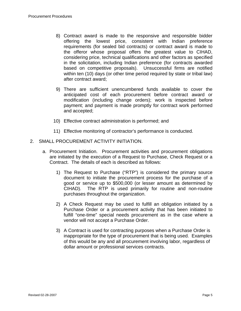- 8) Contract award is made to the responsive and responsible bidder offering the lowest price, consistent with Indian preference requirements (for sealed bid contracts) or contract award is made to the offeror whose proposal offers the greatest value to CIHAD, considering price, technical qualifications and other factors as specified in the solicitation, including Indian preference (for contracts awarded based on competitive proposals). Unsuccessful firms are notified within ten (10) days (or other time period required by state or tribal law) after contract award;
- 9) There are sufficient unencumbered funds available to cover the anticipated cost of each procurement before contract award or modification (including change orders); work is inspected before payment; and payment is made promptly for contract work performed and accepted;
- 10) Effective contract administration is performed; and
- 11) Effective monitoring of contractor's performance is conducted.
- 2. SMALL PROCUREMENT ACTIVITY INITIATION.
	- a. Procurement Initiation. Procurement activities and procurement obligations are initiated by the execution of a Request to Purchase, Check Request or a Contract. The details of each is described as follows:
		- 1) The Request to Purchase ("RTP") is considered the primary source document to initiate the procurement process for the purchase of a good or service up to \$500,000 (or lesser amount as determined by CIHAD). The RTP is used primarily for routine and non-routine purchases throughout the organization.
		- 2) A Check Request may be used to fulfill an obligation initiated by a Purchase Order or a procurement activity that has been initiated to fulfill "one-time" special needs procurement as in the case where a vendor will not accept a Purchase Order.
		- 3) A Contract is used for contracting purposes when a Purchase Order is inappropriate for the type of procurement that is being used. Examples of this would be any and all procurement involving labor, regardless of dollar amount or professional services contracts.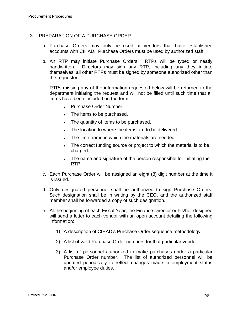#### 3. PREPARATION OF A PURCHASE ORDER.

- a. Purchase Orders may only be used at vendors that have established accounts with CIHAD. Purchase Orders must be used by authorized staff.
- b. An RTP may initiate Purchase Orders. RTPs will be typed or neatly handwritten. Directors may sign any RTP, including any they initiate themselves; all other RTPs must be signed by someone authorized other than the requestor.

RTPs missing any of the information requested below will be returned to the department initiating the request and will not be filled until such time that all items have been included on the form:

- Purchase Order Number
- The items to be purchased.
- The quantity of items to be purchased.
- The location to where the items are to be delivered.
- The time frame in which the materials are needed.
- The correct funding source or project to which the material is to be charged.
- The name and signature of the person responsible for initiating the RTP.
- c. Each Purchase Order will be assigned an eight (8) digit number at the time it is issued.
- d. Only designated personnel shall be authorized to sign Purchase Orders. Such designation shall be in writing by the CEO, and the authorized staff member shall be forwarded a copy of such designation.
- e. At the beginning of each Fiscal Year, the Finance Director or his/her designee will send a letter to each vendor with an open account detailing the following information:
	- 1) A description of CIHAD's Purchase Order sequence methodology.
	- 2) A list of valid Purchase Order numbers for that particular vendor.
	- 3) A list of personnel authorized to make purchases under a particular Purchase Order number. The list of authorized personnel will be updated periodically to reflect changes made in employment status and/or employee duties.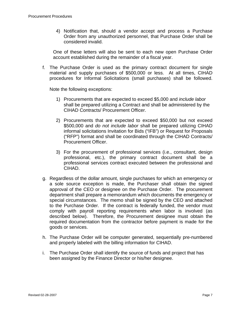4) Notification that, should a vendor accept and process a Purchase Order from any unauthorized personnel, that Purchase Order shall be considered invalid.

One of these letters will also be sent to each new open Purchase Order account established during the remainder of a fiscal year.

f. The Purchase Order is used as the primary contract document for single material and supply purchases of \$500,000 or less. At all times, CIHAD procedures for Informal Solicitations (small purchases) shall be followed.

Note the following exceptions:

- 1) Procurements that are expected to exceed \$5,000 and *include labor* shall be prepared utilizing a Contract and shall be administered by the CIHAD Contracts/ Procurement Officer.
- 2) Procurements that are expected to exceed \$50,000 but not exceed \$500,000 and *do not include labor* shall be prepared utilizing CIHAD informal solicitations Invitation for Bids ("IFB") or Request for Proposals ("RFP") format and shall be coordinated through the CIHAD Contracts/ Procurement Officer.
- 3) For the procurement of professional services (i.e., consultant, design professional, etc.), the primary contract document shall be a professional services contract executed between the professional and CIHAD.
- g. Regardless of the dollar amount, single purchases for which an emergency or a sole source exception is made, the Purchaser shall obtain the signed approval of the CEO or designee on the Purchase Order. The procurement department shall prepare a memorandum which documents the emergency or special circumstances. The memo shall be signed by the CEO and attached to the Purchase Order. If the contract is federally funded, the vendor must comply with payroll reporting requirements when labor is involved (as described below). Therefore, the Procurement designee must obtain the required documentation from the contractor before payment is made for the goods or services.
- h. The Purchase Order will be computer generated, sequentially pre-numbered and properly labeled with the billing information for CIHAD.
- i. The Purchase Order shall identify the source of funds and project that has been assigned by the Finance Director or his/her designee.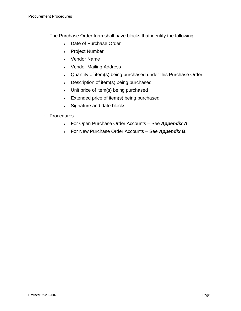- j. The Purchase Order form shall have blocks that identify the following:
	- Date of Purchase Order
	- Project Number
	- Vendor Name
	- Vendor Mailing Address
	- Quantity of item(s) being purchased under this Purchase Order
	- Description of item(s) being purchased
	- Unit price of item(s) being purchased
	- Extended price of item(s) being purchased
	- Signature and date blocks
- k. Procedures.
	- For Open Purchase Order Accounts See *Appendix A*.
	- For New Purchase Order Accounts See *Appendix B*.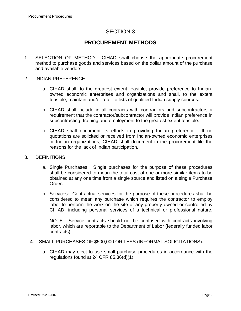# **PROCUREMENT METHODS**

- 1. SELECTION OF METHOD. CIHAD shall choose the appropriate procurement method to purchase goods and services based on the dollar amount of the purchase and available vendors.
- 2. INDIAN PREFERENCE.
	- a. CIHAD shall, to the greatest extent feasible, provide preference to Indianowned economic enterprises and organizations and shall, to the extent feasible, maintain and/or refer to lists of qualified Indian supply sources.
	- b. CIHAD shall include in all contracts with contractors and subcontractors a requirement that the contractor/subcontractor will provide Indian preference in subcontracting, training and employment to the greatest extent feasible.
	- c. CIHAD shall document its efforts in providing Indian preference. If no quotations are solicited or received from Indian-owned economic enterprises or Indian organizations, CIHAD shall document in the procurement file the reasons for the lack of Indian participation.
- 3. DEFINITIONS.
	- a. Single Purchases: Single purchases for the purpose of these procedures shall be considered to mean the total cost of one or more similar items to be obtained at any one time from a single source and listed on a single Purchase Order.
	- b. Services: Contractual services for the purpose of these procedures shall be considered to mean any purchase which requires the contractor to employ labor to perform the work on the site of any property owned or controlled by CIHAD, including personal services of a technical or professional nature.

NOTE: Service contracts should not be confused with contracts involving labor, which are reportable to the Department of Labor (federally funded labor contracts).

- 4. SMALL PURCHASES OF \$500,000 OR LESS (INFORMAL SOLICITATIONS).
	- a. CIHAD may elect to use small purchase procedures in accordance with the regulations found at 24 CFR 85.36(d)(1).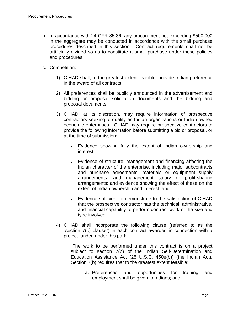- b. In accordance with 24 CFR 85.36, any procurement not exceeding \$500,000 in the aggregate may be conducted in accordance with the small purchase procedures described in this section. Contract requirements shall not be artificially divided so as to constitute a small purchase under these policies and procedures.
- c. Competition:
	- 1) CIHAD shall, to the greatest extent feasible, provide Indian preference in the award of all contracts.
	- 2) All preferences shall be publicly announced in the advertisement and bidding or proposal solicitation documents and the bidding and proposal documents.
	- 3) CIHAD, at its discretion, may require information of prospective contractors seeking to qualify as Indian organizations or Indian-owned economic enterprises. CIHAD may require prospective contractors to provide the following information before submitting a bid or proposal, or at the time of submission:
		- Evidence showing fully the extent of Indian ownership and interest,
		- Evidence of structure, management and financing affecting the Indian character of the enterprise, including major subcontracts and purchase agreements; materials or equipment supply arrangements; and management salary or profit-sharing arrangements; and evidence showing the effect of these on the extent of Indian ownership and interest, and
		- Evidence sufficient to demonstrate to the satisfaction of CIHAD that the prospective contractor has the technical, administrative, and financial capability to perform contract work of the size and type involved.
	- 4) CIHAD shall incorporate the following clause (referred to as the "section 7(b) clause") in each contract awarded in connection with a project funded under this part:

"The work to be performed under this contract is on a project subject to section 7(b) of the Indian Self-Determination and Education Assistance Act (25 U.S.C. 450e(b)) (the Indian Act). Section 7(b) requires that to the greatest extent feasible:

a. Preferences and opportunities for training and employment shall be given to Indians; and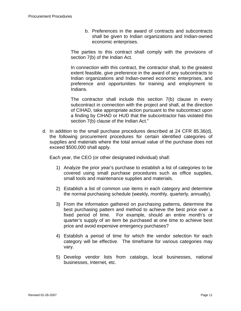b. Preferences in the award of contracts and subcontracts shall be given to Indian organizations and Indian-owned economic enterprises.

The parties to this contract shall comply with the provisions of section 7(b) of the Indian Act.

In connection with this contract, the contractor shall, to the greatest extent feasible, give preference in the award of any subcontracts to Indian organizations and Indian-owned economic enterprises, and preference and opportunities for training and employment to Indians.

The contractor shall include this section 7(b) clause in every subcontract in connection with the project and shall, at the direction of CIHAD, take appropriate action pursuant to the subcontract upon a finding by CIHAD or HUD that the subcontractor has violated this section 7(b) clause of the Indian Act."

d. In addition to the small purchase procedures described at 24 CFR 85.36(d), the following procurement procedures for certain identified categories of supplies and materials where the total annual value of the purchase does not exceed \$500,000 shall apply.

Each year, the CEO (or other designated individual) shall:

- 1) Analyze the prior year's purchase to establish a list of categories to be covered using small purchase procedures such as office supplies, small tools and maintenance supplies and materials.
- 2) Establish a list of common use items in each category and determine the normal purchasing schedule (weekly, monthly, quarterly, annually).
- 3) From the information gathered on purchasing patterns, determine the best purchasing pattern and method to achieve the best price over a fixed period of time. For example, should an entire month's or quarter's supply of an item be purchased at one time to achieve best price and avoid expensive emergency purchases?
- 4) Establish a period of time for which the vendor selection for each category will be effective. The timeframe for various categories may vary.
- 5) Develop vendor lists from catalogs, local businesses, national businesses, Internet, etc.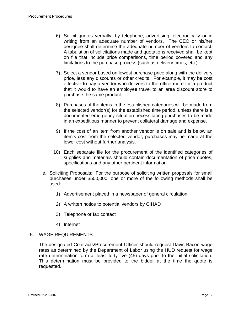- 6) Solicit quotes verbally, by telephone, advertising, electronically or in writing from an adequate number of vendors. The CEO or his/her designee shall determine the adequate number of vendors to contact. A tabulation of solicitations made and quotations received shall be kept on file that include price comparisons, time period covered and any limitations to the purchase process (such as delivery times, etc.).
- 7) Select a vendor based on lowest purchase price along with the delivery price, less any discounts or other credits. For example, it may be cost effective to pay a vendor who delivers to the office more for a product that it would to have an employee travel to an area discount store to purchase the same product.
- 8) Purchases of the items in the established categories will be made from the selected vendor(s) for the established time period, unless there is a documented emergency situation necessitating purchases to be made in an expeditious manner to prevent collateral damage and expense.
- 9) If the cost of an item from another vendor is on sale and is below an item's cost from the selected vendor, purchases may be made at the lower cost without further analysis.
- 10) Each separate file for the procurement of the identified categories of supplies and materials should contain documentation of price quotes, specifications and any other pertinent information.
- e. Soliciting Proposals: For the purpose of soliciting written proposals for small purchases under \$500,000, one or more of the following methods shall be used:
	- 1) Advertisement placed in a newspaper of general circulation
	- 2) A written notice to potential vendors by CIHAD
	- 3) Telephone or fax contact
	- 4) Internet

#### 5. WAGE REQUIREMENTS.

The designated Contracts/Procurement Officer should request Davis-Bacon wage rates as determined by the Department of Labor using the HUD request for wage rate determination form at least forty-five (45) days prior to the initial solicitation. This determination must be provided to the bidder at the time the quote is requested.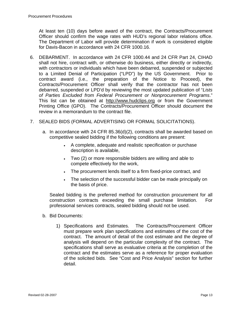At least ten (10) days before award of the contract, the Contracts/Procurement Officer should confirm the wage rates with HUD's regional labor relations office. The Department of Labor will provide determination if work is considered eligible for Davis-Bacon in accordance with 24 CFR 1000.16.

- 6. DEBARMENT. In accordance with 24 CFR 1000.44 and 24 CFR Part 24, CIHAD shall not hire, contract with, or otherwise do business, either directly or indirectly, with contractors or individuals which have been debarred, suspended or subjected to a Limited Denial of Participation ("LPD") by the US Government. Prior to contract award (i.e., the preparation of the Notice to Proceed), the Contracts/Procurement Officer shall verify that the contractor has not been debarred, suspended or LPD'd by reviewing the most updated publication of "*Lists of Parties Excluded from Federal Procurement or Nonprocurement Programs*." This list can be obtained at [http://www.hudclips.org](http://www.hudclips.org/) or from the Government Printing Office (GPO). The Contracts/Procurement Officer should document the review in a memorandum to the contract file.
- 7. SEALED BIDS (FORMAL ADVERTISING OR FORMAL SOLICITATIONS).
	- a. In accordance with 24 CFR 85.36(d)(2), contracts shall be awarded based on competitive sealed bidding if the following conditions are present:
		- A complete, adequate and realistic specification or purchase description is available,
		- Two (2) or more responsible bidders are willing and able to compete effectively for the work,
		- The procurement lends itself to a firm fixed-price contract, and
		- The selection of the successful bidder can be made principally on the basis of price.

Sealed bidding is the preferred method for construction procurement for all construction contracts exceeding the small purchase limitation. For professional services contracts, sealed bidding should not be used.

- b. Bid Documents:
	- 1) Specifications and Estimates. The Contracts/Procurement Officer must prepare work plan specifications and estimates of the cost of the contract. The amount of detail of the cost estimate and the degree of analysis will depend on the particular complexity of the contract. The specifications shall serve as evaluative criteria at the completion of the contract and the estimates serve as a reference for proper evaluation of the solicited bids. See "Cost and Price Analysis" section for further detail.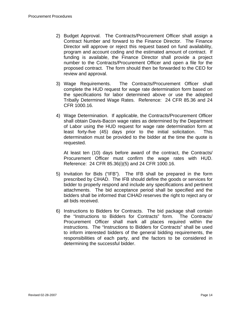- 2) Budget Approval. The Contracts/Procurement Officer shall assign a Contract Number and forward to the Finance Director. The Finance Director will approve or reject this request based on fund availability, program and account coding and the estimated amount of contract. If funding is available, the Finance Director shall provide a project number to the Contracts/Procurement Officer and open a file for the proposed contract. The form should then be forwarded to the CEO for review and approval.
- 3) Wage Requirements. The Contracts/Procurement Officer shall complete the HUD request for wage rate determination form based on the specifications for labor determined above or use the adopted Tribally Determined Wage Rates. Reference: 24 CFR 85.36 and 24 CFR 1000.16.
- 4) Wage Determination. If applicable, the Contracts/Procurement Officer shall obtain Davis-Bacon wage rates as determined by the Department of Labor using the HUD request for wage rate determination form at least forty-five (45) days prior to the initial solicitation. This determination must be provided to the bidder at the time the quote is requested.

At least ten (10) days before award of the contract, the Contracts/ Procurement Officer must confirm the wage rates with HUD. Reference: 24 CFR 85.36(i)(5) and 24 CFR 1000.16.

- 5) Invitation for Bids ("IFB"). The IFB shall be prepared in the form prescribed by CIHAD. The IFB should define the goods or services for bidder to properly respond and include any specifications and pertinent attachments. The bid acceptance period shall be specified and the bidders shall be informed that CIHAD reserves the right to reject any or all bids received.
- 6) Instructions to Bidders for Contracts. The bid package shall contain the "Instructions to Bidders for Contracts" form. The Contracts/ Procurement Officer shall mark all places required within the instructions. The "Instructions to Bidders for Contracts" shall be used to inform interested bidders of the general bidding requirements, the responsibilities of each party, and the factors to be considered in determining the successful bidder.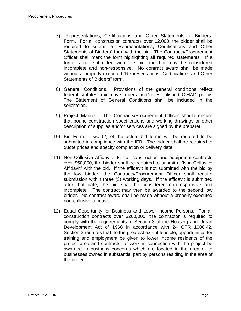- 7) "Representations, Certifications and Other Statements of Bidders" Form. For all construction contracts over \$2,000, the bidder shall be required to submit a "Representations, Certifications and Other Statements of Bidders" form with the bid. The Contracts/Procurement Officer shall mark the form highlighting all required statements. If a form is not submitted with the bid, the bid may be considered incomplete and non-responsive. No contract award shall be made without a properly executed "Representations, Certifications and Other Statements of Bidders" form.
- 8) General Conditions. Provisions of the general conditions reflect federal statutes, executive orders and/or established CIHAD policy. The Statement of General Conditions shall be included in the solicitation.
- 9) Project Manual. The Contracts/Procurement Officer should ensure that bound construction specifications and working drawings or other description of supplies and/or services are signed by the preparer.
- 10) Bid Form. Two (2) of the actual bid forms will be required to be submitted in compliance with the IFB. The bidder shall be required to quote prices and specify completion or delivery date.
- 11) Non-Collusive Affidavit. For all construction and equipment contracts over \$50,000, the bidder shall be required to submit a "Non-Collusive Affidavit" with the bid. If the affidavit is not submitted with the bid by the low bidder, the Contracts/Procurement Officer shall require submission within three (3) working days. If the affidavit is submitted after that date, the bid shall be considered non-responsive and incomplete. The contract may then be awarded to the second low bidder. No contract award shall be made without a properly executed non-collusive affidavit.
- 12) Equal Opportunity for Business and Lower Income Persons. For all construction contracts over \$200,000, the contractor is required to comply with the requirements of Section 3 of the Housing and Urban Development Act of 1968 in accordance with 24 CFR 1000.42. Section 3 requires that, to the greatest extent feasible, opportunities for training and employment be given to lower income residents of the project area and contracts for work in connection with the project be awarded to business concerns which are located in the area or to businesses owned in substantial part by persons residing in the area of the project.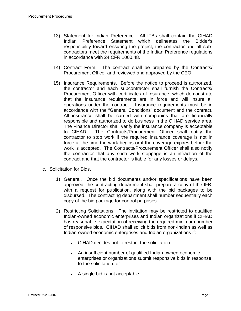- 13) Statement for Indian Preference. All IFBs shall contain the CIHAD Indian Preference Statement which delineates the Bidder's responsibility toward ensuring the project, the contractor and all subcontractors meet the requirements of the Indian Preference regulations in accordance with 24 CFR 1000.48.
- 14) Contract Form. The contract shall be prepared by the Contracts/ Procurement Officer and reviewed and approved by the CEO.
- 15) Insurance Requirements. Before the notice to proceed is authorized, the contractor and each subcontractor shall furnish the Contracts/ Procurement Officer with certificates of insurance, which demonstrate that the insurance requirements are in force and will insure all operations under the contract. Insurance requirements must be in accordance with the "General Conditions" document and the contract. All insurance shall be carried with companies that are financially responsible and authorized to do business in the CIHAD service area. The Finance Director shall verify the insurance company is acceptable to CIHAD. The Contracts/Procurement Officer shall notify the contractor to stop work if the required insurance coverage is not in force at the time the work begins or if the coverage expires before the work is accepted. The Contracts/Procurement Officer shall also notify the contractor that any such work stoppage is an infraction of the contract and that the contractor is liable for any losses or delays.
- c. Solicitation for Bids.
	- 1) General. Once the bid documents and/or specifications have been approved, the contracting department shall prepare a copy of the IFB, with a request for publication, along with the bid packages to be disbursed. The contracting department shall number sequentially each copy of the bid package for control purposes.
	- 2) Restricting Solicitations. The invitation may be restricted to qualified Indian-owned economic enterprises and Indian organizations if CIHAD has reasonable expectation of receiving the required minimum number of responsive bids. CIHAD shall solicit bids from non-Indian as well as Indian-owned economic enterprises and Indian organizations if:
		- CIHAD decides not to restrict the solicitation.
		- An insufficient number of qualified Indian-owned economic enterprises or organizations submit responsive bids in response to the solicitation, or
		- A single bid is not acceptable.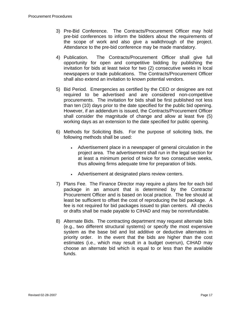- 3) Pre-Bid Conference. The Contracts/Procurement Officer may hold pre-bid conferences to inform the bidders about the requirements of the scope of work and also give a walkthrough of the project. Attendance to the pre-bid conference may be made mandatory.
- 4) Publication. The Contracts/Procurement Officer shall give full opportunity for open and competitive bidding by publishing the invitation for bids at least twice for two (2) consecutive weeks in local newspapers or trade publications. The Contracts/Procurement Officer shall also extend an invitation to known potential vendors.
- 5) Bid Period. Emergencies as certified by the CEO or designee are not required to be advertised and are considered non-competitive procurements. The invitation for bids shall be first published not less than ten (10) days prior to the date specified for the public bid opening. However, if an addendum is issued, the Contracts/Procurement Officer shall consider the magnitude of change and allow at least five (5) working days as an extension to the date specified for public opening.
- 6) Methods for Soliciting Bids. For the purpose of soliciting bids, the following methods shall be used:
	- Advertisement place in a newspaper of general circulation in the project area. The advertisement shall run in the legal section for at least a minimum period of twice for two consecutive weeks, thus allowing firms adequate time for preparation of bids.
	- Advertisement at designated plans review centers.
- 7) Plans Fee. The Finance Director may require a plans fee for each bid package in an amount that is determined by the Contracts/ Procurement Officer and is based on local practice. The fee should at least be sufficient to offset the cost of reproducing the bid package. A fee is not required for bid packages issued to plan centers. All checks or drafts shall be made payable to CIHAD and may be nonrefundable.
- 8) Alternate Bids. The contracting department may request alternate bids (e.g., two different structural systems) or specify the most expensive system as the base bid and list additive or deductive alternates in priority order. In the event that the bids are higher than the cost estimates (i.e., which may result in a budget overrun), CIHAD may choose an alternate bid which is equal to or less than the available funds.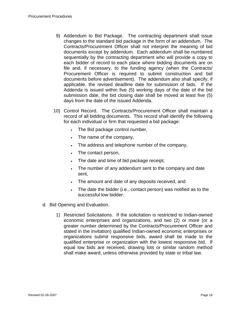- 9) Addendum to Bid Package. The contracting department shall issue changes to the standard bid package in the form of an addendum. The Contracts/Procurement Officer shall not interpret the meaning of bid documents except by addendum. Each addendum shall be numbered sequentially by the contracting department who will provide a copy to each bidder of record to each place where bidding documents are on file and, if necessary, to the funding agency (when the Contracts/ Procurement Officer is required to submit construction and bid documents before advertisement). The addendum also shall specify, if applicable, the revised deadline date for submission of bids. If the Addenda is issued within five (5) working days of the date of the bid submission date, the bid closing date shall be moved at least five (5) days from the date of the issued Addenda.
- 10) Control Record. The Contracts/Procurement Officer shall maintain a record of all bidding documents. This record shall identify the following for each individual or firm that requested a bid package:
	- The Bid package control number,
	- The name of the company,
	- The address and telephone number of the company,
	- The contact person,
	- The date and time of bid package receipt,
	- The number of any addendum sent to the company and date sent,
	- The amount and date of any deposits received, and
	- The date the bidder (i.e., contact person) was notified as to the successful low bidder.
- d. Bid Opening and Evaluation.
	- 1) Restricted Solicitations. If the solicitation is restricted to Indian-owned economic enterprises and organizations, and two (2) or more (or a greater number determined by the Contracts/Procurement Officer and stated in the invitation) qualified Indian-owned economic enterprises or organizations submit responsive bids, award shall be made to the qualified enterprise or organization with the lowest responsive bid. If equal low bids are received, drawing lots or similar random method shall make award, unless otherwise provided by state or tribal law.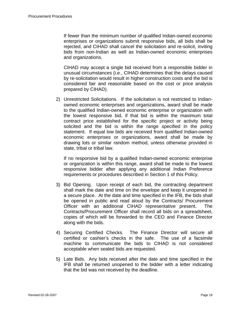If fewer than the minimum number of qualified Indian-owned economic enterprises or organizations submit responsive bids, all bids shall be rejected, and CIHAD shall cancel the solicitation and re-solicit, inviting bids from non-Indian as well as Indian-owned economic enterprises and organizations.

CIHAD may accept a single bid received from a responsible bidder in unusual circumstances (i.e., CIHAD determines that the delays caused by re-solicitation would result in higher construction costs and the bid is considered fair and reasonable based on the cost or price analysis prepared by CIHAD).

2) Unrestricted Solicitations. If the solicitation is not restricted to Indianowned economic enterprises and organizations, award shall be made to the qualified Indian-owned economic enterprise or organization with the lowest responsive bid, if that bid is within the maximum total contract price established for the specific project or activity being solicited and the bid is within the range specified in the policy statement. If equal low bids are received from qualified Indian-owned economic enterprises or organizations, award shall be made by drawing lots or similar random method, unless otherwise provided in state, tribal or tribal law.

If no responsive bid by a qualified Indian-owned economic enterprise or organization is within this range, award shall be made to the lowest responsive bidder after applying any additional Indian Preference requirements or procedures described in Section 1 of this Policy.

- 3) Bid Opening. Upon receipt of each bid, the contracting department shall mark the date and time on the envelope and keep it unopened in a secure place. At the date and time specified in the IFB, the bids shall be opened in public and read aloud by the Contracts/ Procurement Officer with an additional CIHAD representative present. The Contracts/Procurement Officer shall record all bids on a spreadsheet, copies of which will be forwarded to the CEO and Finance Director along with the bids.
- 4) Securing Certified Checks. The Finance Director will secure all certified or cashier's checks in the safe. The use of a facsimile machine to communicate the bids to CIHAD is not considered acceptable when sealed bids are requested.
- 5) Late Bids. Any bids received after the date and time specified in the IFB shall be returned unopened to the bidder with a letter indicating that the bid was not received by the deadline.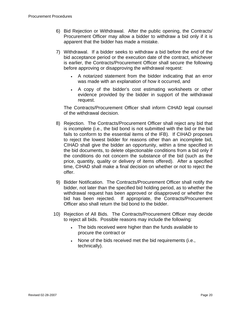- 6) Bid Rejection or Withdrawal. After the public opening, the Contracts/ Procurement Officer may allow a bidder to withdraw a bid only if it is apparent that the bidder has made a mistake.
- 7) Withdrawal. If a bidder seeks to withdraw a bid before the end of the bid acceptance period or the execution date of the contract, whichever is earlier, the Contracts/Procurement Officer shall secure the following before approving or disapproving the withdrawal request:
	- A notarized statement from the bidder indicating that an error was made with an explanation of how it occurred, and
	- A copy of the bidder's cost estimating worksheets or other evidence provided by the bidder in support of the withdrawal request.

The Contracts/Procurement Officer shall inform CIHAD legal counsel of the withdrawal decision.

- 8) Rejection. The Contracts/Procurement Officer shall reject any bid that is incomplete (i.e., the bid bond is not submitted with the bid or the bid fails to conform to the essential items of the IFB). If CIHAD proposes to reject the lowest bidder for reasons other than an incomplete bid, CIHAD shall give the bidder an opportunity, within a time specified in the bid documents, to delete objectionable conditions from a bid only if the conditions do not concern the substance of the bid (such as the price, quantity, quality or delivery of items offered). After a specified time, CIHAD shall make a final decision on whether or not to reject the offer.
- 9) Bidder Notification. The Contracts/Procurement Officer shall notify the bidder, not later than the specified bid holding period, as to whether the withdrawal request has been approved or disapproved or whether the bid has been rejected. If appropriate, the Contracts/Procurement Officer also shall return the bid bond to the bidder.
- 10) Rejection of All Bids. The Contracts/Procurement Officer may decide to reject all bids. Possible reasons may include the following:
	- The bids received were higher than the funds available to procure the contract or
	- None of the bids received met the bid requirements (i.e., technically).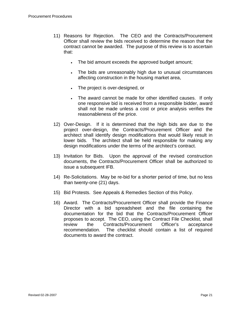- 11) Reasons for Rejection. The CEO and the Contracts/Procurement Officer shall review the bids received to determine the reason that the contract cannot be awarded. The purpose of this review is to ascertain that:
	- The bid amount exceeds the approved budget amount;
	- The bids are unreasonably high due to unusual circumstances affecting construction in the housing market area,
	- The project is over-designed, or
	- The award cannot be made for other identified causes. If only one responsive bid is received from a responsible bidder, award shall not be made unless a cost or price analysis verifies the reasonableness of the price.
- 12) Over-Design. If it is determined that the high bids are due to the project over-design, the Contracts/Procurement Officer and the architect shall identify design modifications that would likely result in lower bids. The architect shall be held responsible for making any design modifications under the terms of the architect's contract.
- 13) Invitation for Bids. Upon the approval of the revised construction documents, the Contracts/Procurement Officer shall be authorized to issue a subsequent IFB.
- 14) Re-Solicitations. May be re-bid for a shorter period of time, but no less than twenty-one (21) days.
- 15) Bid Protests. See Appeals & Remedies Section of this Policy.
- 16) Award. The Contracts/Procurement Officer shall provide the Finance Director with a bid spreadsheet and the file containing the documentation for the bid that the Contracts/Procurement Officer proposes to accept. The CEO, using the Contract File Checklist, shall review the Contracts/Procurement Officer's acceptance recommendation. The checklist should contain a list of required documents to award the contract.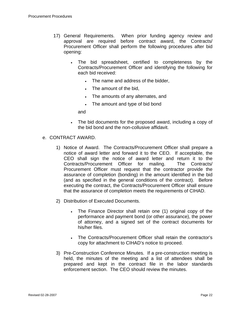- 17) General Requirements. When prior funding agency review and approval are required before contract award, the Contracts/ Procurement Officer shall perform the following procedures after bid opening:
	- The bid spreadsheet, certified to completeness by the Contracts/Procurement Officer and identifying the following for each bid received:
		- The name and address of the bidder,
		- The amount of the bid,
		- The amounts of any alternates, and
		- The amount and type of bid bond

and

- The bid documents for the proposed award, including a copy of the bid bond and the non-collusive affidavit.
- e. CONTRACT AWARD.
	- 1) Notice of Award. The Contracts/Procurement Officer shall prepare a notice of award letter and forward it to the CEO. If acceptable, the CEO shall sign the notice of award letter and return it to the Contracts/Procurement Officer for mailing. The Contracts/ Procurement Officer must request that the contractor provide the assurance of completion (bonding) in the amount identified in the bid (and as specified in the general conditions of the contract). Before executing the contract, the Contracts/Procurement Officer shall ensure that the assurance of completion meets the requirements of CIHAD.
	- 2) Distribution of Executed Documents.
		- The Finance Director shall retain one (1) original copy of the performance and payment bond (or other assurance), the power of attorney, and a signed set of the contract documents for his/her files.
		- The Contracts/Procurement Officer shall retain the contractor's copy for attachment to CIHAD's notice to proceed.
	- 3) Pre-Construction Conference Minutes. If a pre-construction meeting is held, the minutes of the meeting and a list of attendees shall be prepared and kept in the contract file in the labor standards enforcement section. The CEO should review the minutes.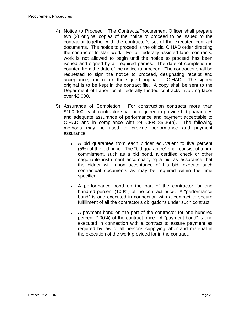- 4) Notice to Proceed. The Contracts/Procurement Officer shall prepare two (2) original copies of the notice to proceed to be issued to the contractor together with the contractor's set of the executed contract documents. The notice to proceed is the official CIHAD order directing the contractor to start work. For all federally-assisted labor contracts, work is not allowed to begin until the notice to proceed has been issued and signed by all required parties. The date of completion is counted from the date of the notice to proceed. The contractor shall be requested to sign the notice to proceed, designating receipt and acceptance, and return the signed original to CIHAD. The signed original is to be kept in the contract file. A copy shall be sent to the Department of Labor for all federally funded contracts involving labor over \$2,000.
- 5) Assurance of Completion. For construction contracts more than \$100,000, each contractor shall be required to provide bid guarantees and adequate assurance of performance and payment acceptable to CIHAD and in compliance with 24 CFR 85.36(h). The following methods may be used to provide performance and payment assurance:
	- A bid guarantee from each bidder equivalent to five percent (5%) of the bid price. The "bid guarantee" shall consist of a firm commitment, such as a bid bond, a certified check or other negotiable instrument accompanying a bid as assurance that the bidder will, upon acceptance of his bid, execute such contractual documents as may be required within the time specified.
	- A performance bond on the part of the contractor for one hundred percent (100%) of the contract price. A "performance bond" is one executed in connection with a contract to secure fulfillment of all the contractor's obligations under such contract.
	- A payment bond on the part of the contractor for one hundred percent (100%) of the contract price. A "payment bond" is one executed in connection with a contract to assure payment as required by law of all persons supplying labor and material in the execution of the work provided for in the contract.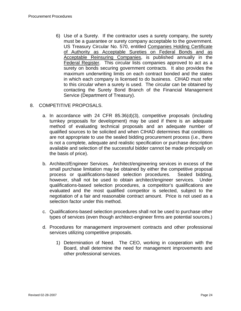6) Use of a Surety. If the contractor uses a surety company, the surety must be a guarantee or surety company acceptable to the government. US Treasury Circular No. 570, entitled Companies Holding Certificate of Authority as Acceptable Sureties on Federal Bonds and as Acceptable Reinsuring Companies, is published annually in the Federal Register. This circular lists companies approved to act as a surety on bonds securing government contracts. It also provides the maximum underwriting limits on each contract bonded and the states in which each company is licensed to do business. CIHAD must refer to this circular when a surety is used. The circular can be obtained by contacting the Surety Bond Branch of the Financial Management Service (Department of Treasury).

#### 8. COMPETITIVE PROPOSALS.

- a. In accordance with 24 CFR 85.36(d)(3), competitive proposals (including turnkey proposals for development) may be used if there is an adequate method of evaluating technical proposals and an adequate number of qualified sources to be solicited and when CIHAD determines that conditions are not appropriate to use the sealed bidding procurement process (i.e., there is not a complete, adequate and realistic specification or purchase description available and selection of the successful bidder cannot be made principally on the basis of price).
- b. Architect/Engineer Services. Architect/engineering services in excess of the small purchase limitation may be obtained by either the competitive proposal process or qualifications-based selection procedures. Sealed bidding, however, shall not be used to obtain architect/engineer services. Under qualifications-based selection procedures, a competitor's qualifications are evaluated and the most qualified competitor is selected, subject to the negotiation of a fair and reasonable contract amount. Price is not used as a selection factor under this method.
- c. Qualifications-based selection procedures shall not be used to purchase other types of services (even though architect-engineer firms are potential sources.)
- d. Procedures for management improvement contracts and other professional services utilizing competitive proposals.
	- 1) Determination of Need. The CEO, working in cooperation with the Board, shall determine the need for management improvements and other professional services.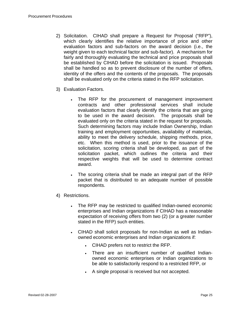- 2) Solicitation. CIHAD shall prepare a Request for Proposal ("RFP"), which clearly identifies the relative importance of price and other evaluation factors and sub-factors on the award decision (i.e., the weight given to each technical factor and sub-factor). A mechanism for fairly and thoroughly evaluating the technical and price proposals shall be established by CIHAD before the solicitation is issued. Proposals shall be handled so as to prevent disclosure of the number of offers, identity of the offers and the contents of the proposals. The proposals shall be evaluated only on the criteria stated in the RFP solicitation.
- 3) Evaluation Factors.
	- The RFP for the procurement of management improvement contracts and other professional services shall include evaluation factors that clearly identify the criteria that are going to be used in the award decision. The proposals shall be evaluated only on the criteria stated in the request for proposals. Such determining factors may include Indian Ownership, Indian training and employment opportunities, availability of materials, ability to meet the delivery schedule, shipping methods, price, etc. When this method is used, prior to the issuance of the solicitation, scoring criteria shall be developed, as part of the solicitation packet, which outlines the criteria and their respective weights that will be used to determine contract award.
	- The scoring criteria shall be made an integral part of the RFP packet that is distributed to an adequate number of possible respondents.
- 4) Restrictions.
	- The RFP may be restricted to qualified Indian-owned economic enterprises and Indian organizations if CIHAD has a reasonable expectation of receiving offers from two (2) (or a greater number stated in the RFP) such entities.
	- CIHAD shall solicit proposals for non-Indian as well as Indianowned economic enterprises and Indian organizations if:
		- CIHAD prefers not to restrict the RFP.
		- There are an insufficient number of qualified Indianowned economic enterprises or Indian organizations to be able to satisfactorily respond to a restricted RFP, or
		- A single proposal is received but not accepted.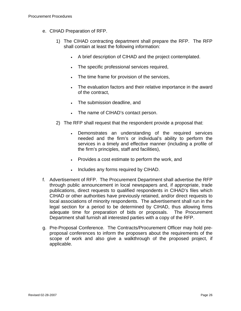- e. CIHAD Preparation of RFP.
	- 1) The CIHAD contracting department shall prepare the RFP. The RFP shall contain at least the following information:
		- A brief description of CIHAD and the project contemplated.
		- The specific professional services required,
		- The time frame for provision of the services,
		- The evaluation factors and their relative importance in the award of the contract,
		- The submission deadline, and
		- The name of CIHAD's contact person.
	- 2) The RFP shall request that the respondent provide a proposal that:
		- Demonstrates an understanding of the required services needed and the firm's or individual's ability to perform the services in a timely and effective manner (including a profile of the firm's principles, staff and facilities),
		- Provides a cost estimate to perform the work, and
		- Includes any forms required by CIHAD.
- f. Advertisement of RFP. The Procurement Department shall advertise the RFP through public announcement in local newspapers and, if appropriate, trade publications, direct requests to qualified respondents in CIHAD's files which CIHAD or other authorities have previously retained, and/or direct requests to local associations of minority respondents. The advertisement shall run in the legal section for a period to be determined by CIHAD, thus allowing firms adequate time for preparation of bids or proposals. The Procurement Department shall furnish all interested parties with a copy of the RFP.
- g. Pre-Proposal Conference. The Contracts/Procurement Officer may hold preproposal conferences to inform the proposers about the requirements of the scope of work and also give a walkthrough of the proposed project, if applicable.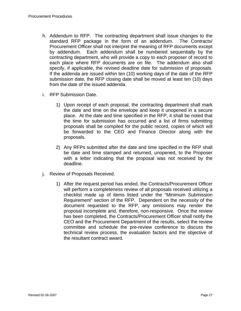- h. Addendum to RFP. The contracting department shall issue changes to the standard RFP package in the form of an addendum. The Contracts/ Procurement Officer shall not interpret the meaning of RFP documents except by addendum. Each addendum shall be numbered sequentially by the contracting department, who will provide a copy to each proposer of record to each place where RFP documents are on file. The addendum also shall specify, if applicable, the revised deadline date for submission of proposals. If the addenda are issued within ten (10) working days of the date of the RFP submission date, the RFP closing date shall be moved at least ten (10) days from the date of the issued addenda.
- i. RFP Submission Date.
	- 1) Upon receipt of each proposal, the contracting department shall mark the date and time on the envelope and keep it unopened in a secure place. At the date and time specified in the RFP, it shall be noted that the time for submission has occurred and a list of firms submitting proposals shall be compiled for the public record, copies of which will be forwarded to the CEO and Finance Director along with the proposals.
	- 2) Any RFPs submitted after the date and time specified in the RFP shall be date and time stamped and returned, unopened, to the Proposer with a letter indicating that the proposal was not received by the deadline.
- j. Review of Proposals Received.
	- 1) After the request period has ended, the Contracts/Procurement Officer will perform a completeness review of all proposals received utilizing a checklist made up of items listed under the "Minimum Submission Requirement" section of the RFP. Dependent on the necessity of the document requested to the RFP, any omissions may render the proposal incomplete and, therefore, non-responsive. Once the review has been completed, the Contracts/Procurement Officer shall notify the CEO and the Procurement Department of the results, select the review committee and schedule the pre-review conference to discuss the technical review process, the evaluation factors and the objective of the resultant contract award.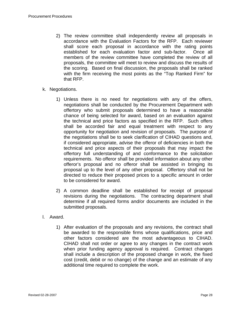- 2) The review committee shall independently review all proposals in accordance with the Evaluation Factors for the RFP. Each reviewer shall score each proposal in accordance with the rating points established for each evaluation factor and sub-factor. Once all members of the review committee have completed the review of all proposals, the committee will meet to review and discuss the results of the scoring. Based on final discussion, the proposals shall be ranked with the firm receiving the most points as the "Top Ranked Firm" for that RFP.
- k. Negotiations.
	- 1) Unless there is no need for negotiations with any of the offers, negotiations shall be conducted by the Procurement Department with offertory who submit proposals determined to have a reasonable chance of being selected for award, based on an evaluation against the technical and price factors as specified in the RFP. Such offers shall be accorded fair and equal treatment with respect to any opportunity for negotiation and revision of proposals. The purpose of the negotiations shall be to seek clarification of CIHAD questions and, if considered appropriate, advise the offeror of deficiencies in both the technical and price aspects of their proposals that may impact the offertory full understanding of and conformance to the solicitation requirements. No offeror shall be provided information about any other offeror's proposal and no offeror shall be assisted in bringing its proposal up to the level of any other proposal. Offertory shall not be directed to reduce their proposed prices to a specific amount in order to be considered for award.
	- 2) A common deadline shall be established for receipt of proposal revisions during the negotiations. The contracting department shall determine if all required forms and/or documents are included in the submitted proposals.
- l. Award.
	- 1) After evaluation of the proposals and any revisions, the contract shall be awarded to the responsible firms whose qualifications, price and other factors considered are the most advantageous to CIHAD. CIHAD shall not order or agree to any changes in the contract work when prior funding agency approval is required. Contract changes shall include a description of the proposed change in work, the fixed cost (credit, debit or no change) of the change and an estimate of any additional time required to complete the work.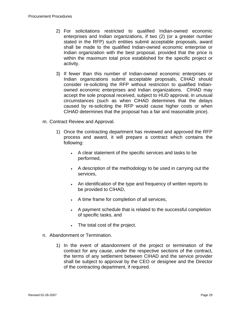- 2) For solicitations restricted to qualified Indian-owned economic enterprises and Indian organizations, if two (2) (or a greater number stated in the RFP) such entities submit acceptable proposals, award shall be made to the qualified Indian-owned economic enterprise or Indian organization with the best proposal, provided that the price is within the maximum total price established for the specific project or activity.
- 3) If fewer than this number of Indian-owned economic enterprises or Indian organizations submit acceptable proposals, CIHAD should consider re-soliciting the RFP without restriction to qualified Indianowned economic enterprises and Indian organizations. CIHAD may accept the sole proposal received, subject to HUD approval, in unusual circumstances (such as when CIHAD determines that the delays caused by re-soliciting the RFP would cause higher costs or when CIHAD determines that the proposal has a fair and reasonable price).
- m. Contract Review and Approval.
	- 1) Once the contracting department has reviewed and approved the RFP process and award, it will prepare a contract which contains the following:
		- A clear statement of the specific services and tasks to be performed,
		- A description of the methodology to be used in carrying out the services,
		- An identification of the type and frequency of written reports to be provided to CIHAD,
		- A time frame for completion of all services,
		- A payment schedule that is related to the successful completion of specific tasks, and
		- The total cost of the project.
- n. Abandonment or Termination.
	- 1) In the event of abandonment of the project or termination of the contract for any cause, under the respective sections of the contract, the terms of any settlement between CIHAD and the service provider shall be subject to approval by the CEO or designee and the Director of the contracting department, if required.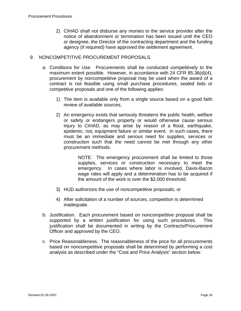- 2) CIHAD shall not disburse any monies to the service provider after the notice of abandonment or termination has been issued until the CEO or designee, the Director of the contracting department and the funding agency (if required) have approved the settlement agreement.
- 9. NONCOMPETITIVE PROCUREMENT PROPOSALS.
	- a. Conditions for Use. Procurements shall be conducted competitively to the maximum extent possible. However, in accordance with 24 CFR 85.36(d)(4), procurement by noncompetitive proposal may be used when the award of a contract is not feasible using small purchase procedures, sealed bids or competitive proposals and one of the following applies:
		- 1) The item is available only from a single source based on a good faith review of available sources,
		- 2) An emergency exists that seriously threatens the public health, welfare or safety or endangers property or would otherwise cause serious injury to CIHAD, as may arise by reason of a flood, earthquake, epidemic, riot, equipment failure or similar event. In such cases, there must be an immediate and serious need for supplies, services or construction such that the need cannot be met through any other procurement methods.

NOTE: The emergency procurement shall be limited to those supplies, services or construction necessary to meet the emergency. In cases where labor is involved, Davis-Bacon wage rates will apply and a determination has to be acquired if the amount of the work is over the \$2,000 threshold.

- 3) HUD authorizes the use of noncompetitive proposals, or
- 4) After solicitation of a number of sources, competition is determined inadequate.
- b. Justification. Each procurement based on noncompetitive proposal shall be supported by a written justification for using such procedures. This justification shall be documented in writing by the Contracts/Procurement Officer and approved by the CEO.
- c. Price Reasonableness. The reasonableness of the price for all procurements based on noncompetitive proposals shall be determined by performing a cost analysis as described under the "Cost and Price Analysis" section below.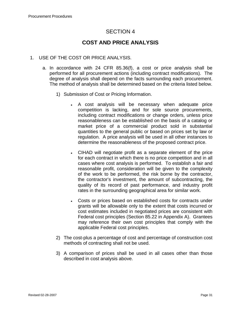# **COST AND PRICE ANALYSIS**

#### 1. USE OF THE COST OR PRICE ANALYSIS.

- a. In accordance with 24 CFR 85.36(f), a cost or price analysis shall be performed for all procurement actions (including contract modifications). The degree of analysis shall depend on the facts surrounding each procurement. The method of analysis shall be determined based on the criteria listed below.
	- 1) Submission of Cost or Pricing Information.
		- A cost analysis will be necessary when adequate price competition is lacking, and for sole source procurements, including contract modifications or change orders, unless price reasonableness can be established on the basis of a catalog or market price of a commercial product sold in substantial quantities to the general public or based on prices set by law or regulation. A price analysis will be used in all other instances to determine the reasonableness of the proposed contract price.
		- CIHAD will negotiate profit as a separate element of the price for each contract in which there is no price competition and in all cases where cost analysis is performed. To establish a fair and reasonable profit, consideration will be given to the complexity of the work to be performed, the risk borne by the contractor, the contractor's investment, the amount of subcontracting, the quality of its record of past performance, and industry profit rates in the surrounding geographical area for similar work.
		- Costs or prices based on established costs for contracts under grants will be allowable only to the extent that costs incurred or cost estimates included in negotiated prices are consistent with Federal cost principles (Section 85.22 in Appendix A). Grantees may reference their own cost principles that comply with the applicable Federal cost principles.
	- 2) The cost-plus a percentage of cost and percentage of construction cost methods of contracting shall not be used.
	- 3) A comparison of prices shall be used in all cases other than those described in cost analysis above.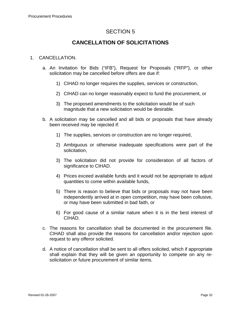# **CANCELLATION OF SOLICITATIONS**

#### 1. CANCELLATION.

- a. An Invitation for Bids ("IFB"), Request for Proposals ("RFP"), or other solicitation may be cancelled before offers are due if:
	- 1) CIHAD no longer requires the supplies, services or construction,
	- 2) CIHAD can no longer reasonably expect to fund the procurement, or
	- 3) The proposed amendments to the solicitation would be of such magnitude that a new solicitation would be desirable.
- b. A solicitation may be cancelled and all bids or proposals that have already been received may be rejected if:
	- 1) The supplies, services or construction are no longer required,
	- 2) Ambiguous or otherwise inadequate specifications were part of the solicitation,
	- 3) The solicitation did not provide for consideration of all factors of significance to CIHAD.
	- 4) Prices exceed available funds and it would not be appropriate to adjust quantities to come within available funds,
	- 5) There is reason to believe that bids or proposals may not have been independently arrived at in open competition, may have been collusive, or may have been submitted in bad faith, or
	- 6) For good cause of a similar nature when it is in the best interest of CIHAD.
- c. The reasons for cancellation shall be documented in the procurement file. CIHAD shall also provide the reasons for cancellation and/or rejection upon request to any offeror solicited.
- d. A notice of cancellation shall be sent to all offers solicited, which if appropriate shall explain that they will be given an opportunity to compete on any resolicitation or future procurement of similar items.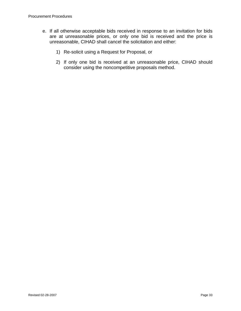- e. If all otherwise acceptable bids received in response to an invitation for bids are at unreasonable prices, or only one bid is received and the price is unreasonable, CIHAD shall cancel the solicitation and either:
	- 1) Re-solicit using a Request for Proposal, or
	- 2) If only one bid is received at an unreasonable price, CIHAD should consider using the noncompetitive proposals method.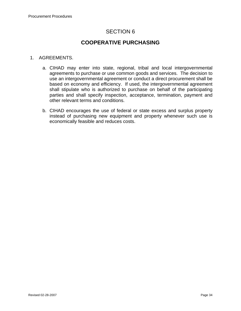# **COOPERATIVE PURCHASING**

#### 1. AGREEMENTS.

- a. CIHAD may enter into state, regional, tribal and local intergovernmental agreements to purchase or use common goods and services. The decision to use an intergovernmental agreement or conduct a direct procurement shall be based on economy and efficiency. If used, the intergovernmental agreement shall stipulate who is authorized to purchase on behalf of the participating parties and shall specify inspection, acceptance, termination, payment and other relevant terms and conditions.
- b. CIHAD encourages the use of federal or state excess and surplus property instead of purchasing new equipment and property whenever such use is economically feasible and reduces costs.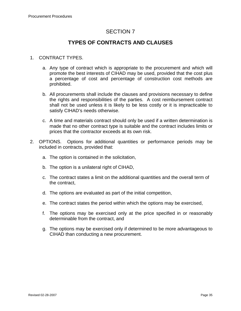# **TYPES OF CONTRACTS AND CLAUSES**

### 1. CONTRACT TYPES.

- a. Any type of contract which is appropriate to the procurement and which will promote the best interests of CIHAD may be used, provided that the cost plus a percentage of cost and percentage of construction cost methods are prohibited.
- b. All procurements shall include the clauses and provisions necessary to define the rights and responsibilities of the parties. A cost reimbursement contract shall not be used unless it is likely to be less costly or it is impracticable to satisfy CIHAD's needs otherwise.
- c. A time and materials contract should only be used if a written determination is made that no other contract type is suitable and the contract includes limits or prices that the contractor exceeds at its own risk.
- 2. OPTIONS. Options for additional quantities or performance periods may be included in contracts, provided that:
	- a. The option is contained in the solicitation,
	- b. The option is a unilateral right of CIHAD,
	- c. The contract states a limit on the additional quantities and the overall term of the contract,
	- d. The options are evaluated as part of the initial competition,
	- e. The contract states the period within which the options may be exercised,
	- f. The options may be exercised only at the price specified in or reasonably determinable from the contract, and
	- g. The options may be exercised only if determined to be more advantageous to CIHAD than conducting a new procurement.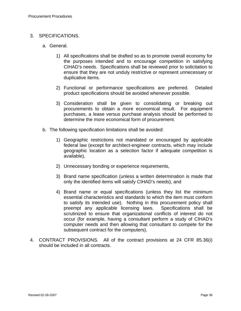#### 3. SPECIFICATIONS.

- a. General.
	- 1) All specifications shall be drafted so as to promote overall economy for the purposes intended and to encourage competition in satisfying CIHAD's needs. Specifications shall be reviewed prior to solicitation to ensure that they are not unduly restrictive or represent unnecessary or duplicative items.
	- 2) Functional or performance specifications are preferred. Detailed product specifications should be avoided whenever possible.
	- 3) Consideration shall be given to consolidating or breaking out procurements to obtain a more economical result. For equipment purchases, a lease versus purchase analysis should be performed to determine the more economical form of procurement.
- b. The following specification limitations shall be avoided:
	- 1) Geographic restrictions not mandated or encouraged by applicable federal law (except for architect-engineer contracts, which may include geographic location as a selection factor if adequate competition is available),
	- 2) Unnecessary bonding or experience requirements,
	- 3) Brand name specification (unless a written determination is made that only the identified items will satisfy CIHAD's needs), and
	- 4) Brand name or equal specifications (unless they list the minimum essential characteristics and standards to which the item must conform to satisfy its intended use). Nothing in this procurement policy shall preempt any applicable licensing laws. Specifications shall be scrutinized to ensure that organizational conflicts of interest do not occur (for example, having a consultant perform a study of CIHAD's computer needs and then allowing that consultant to compete for the subsequent contract for the computers).
- 4. CONTRACT PROVISIONS. All of the contract provisions at 24 CFR 85.36(i) should be included in all contracts.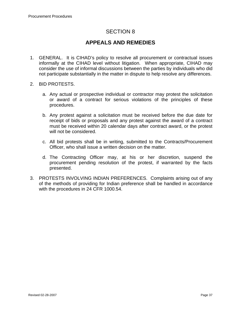# **APPEALS AND REMEDIES**

- 1. GENERAL. It is CIHAD's policy to resolve all procurement or contractual issues informally at the CIHAD level without litigation. When appropriate, CIHAD may consider the use of informal discussions between the parties by individuals who did not participate substantially in the matter in dispute to help resolve any differences.
- 2. BID PROTESTS.
	- a. Any actual or prospective individual or contractor may protest the solicitation or award of a contract for serious violations of the principles of these procedures.
	- b. Any protest against a solicitation must be received before the due date for receipt of bids or proposals and any protest against the award of a contract must be received within 20 calendar days after contract award, or the protest will not be considered.
	- c. All bid protests shall be in writing, submitted to the Contracts/Procurement Officer, who shall issue a written decision on the matter.
	- d. The Contracting Officer may, at his or her discretion, suspend the procurement pending resolution of the protest, if warranted by the facts presented.
- 3. PROTESTS INVOLVING INDIAN PREFERENCES. Complaints arising out of any of the methods of providing for Indian preference shall be handled in accordance with the procedures in 24 CFR 1000.54.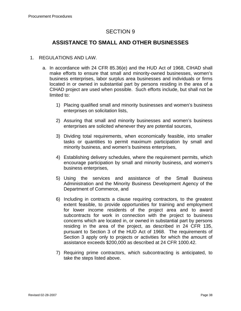# **ASSISTANCE TO SMALL AND OTHER BUSINESSES**

#### 1. REGULATIONS AND LAW.

- a. In accordance with 24 CFR 85.36(e) and the HUD Act of 1968, CIHAD shall make efforts to ensure that small and minority-owned businesses, women's business enterprises, labor surplus area businesses and individuals or firms located in or owned in substantial part by persons residing in the area of a CIHAD project are used when possible. Such efforts include, but shall not be limited to:
	- 1) Placing qualified small and minority businesses and women's business enterprises on solicitation lists,
	- 2) Assuring that small and minority businesses and women's business enterprises are solicited whenever they are potential sources,
	- 3) Dividing total requirements, when economically feasible, into smaller tasks or quantities to permit maximum participation by small and minority business, and women's business enterprises,
	- 4) Establishing delivery schedules, where the requirement permits, which encourage participation by small and minority business, and women's business enterprises,
	- 5) Using the services and assistance of the Small Business Administration and the Minority Business Development Agency of the Department of Commerce, and
	- 6) Including in contracts a clause requiring contractors, to the greatest extent feasible, to provide opportunities for training and employment for lower income residents of the project area and to award subcontracts for work in connection with the project to business concerns which are located in, or owned in substantial part by persons residing in the area of the project, as described in 24 CFR 135, pursuant to Section 3 of the HUD Act of 1968. The requirements of Section 3 apply only to projects or activities for which the amount of assistance exceeds \$200,000 as described at 24 CFR 1000.42.
	- 7) Requiring prime contractors, which subcontracting is anticipated, to take the steps listed above.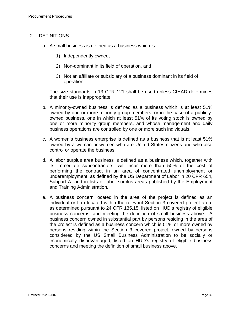#### 2. DEFINITIONS.

- a. A small business is defined as a business which is:
	- 1) Independently owned,
	- 2) Non-dominant in its field of operation, and
	- 3) Not an affiliate or subsidiary of a business dominant in its field of operation.

The size standards in 13 CFR 121 shall be used unless CIHAD determines that their use is inappropriate.

- b. A minority-owned business is defined as a business which is at least 51% owned by one or more minority group members, or in the case of a publiclyowned business, one in which at least 51% of its voting stock is owned by one or more minority group members, and whose management and daily business operations are controlled by one or more such individuals.
- c. A women's business enterprise is defined as a business that is at least 51% owned by a woman or women who are United States citizens and who also control or operate the business.
- d. A labor surplus area business is defined as a business which, together with its immediate subcontractors, will incur more than 50% of the cost of performing the contract in an area of concentrated unemployment or underemployment, as defined by the US Department of Labor in 20 CFR 654, Subpart A, and in lists of labor surplus areas published by the Employment and Training Administration.
- e. A business concern located in the area of the project is defined as an individual or firm located within the relevant Section 3 covered project area, as determined pursuant to 24 CFR 135.15, listed on HUD's registry of eligible business concerns, and meeting the definition of small business above. A business concern owned in substantial part by persons residing in the area of the project is defined as a business concern which is 51% or more owned by persons residing within the Section 3 covered project, owned by persons considered by the US Small Business Administration to be socially or economically disadvantaged, listed on HUD's registry of eligible business concerns and meeting the definition of small business above.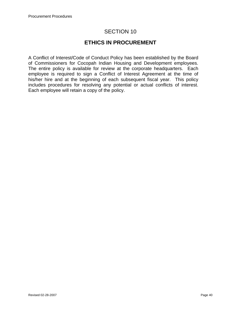# **ETHICS IN PROCUREMENT**

A Conflict of Interest/Code of Conduct Policy has been established by the Board of Commissioners for Cocopah Indian Housing and Development employees. The entire policy is available for review at the corporate headquarters. Each employee is required to sign a Conflict of Interest Agreement at the time of his/her hire and at the beginning of each subsequent fiscal year. This policy includes procedures for resolving any potential or actual conflicts of interest. Each employee will retain a copy of the policy.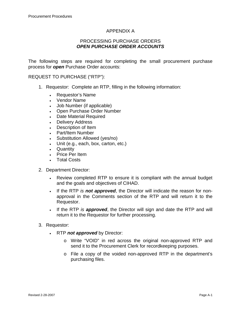#### APPENDIX A

#### PROCESSING PURCHASE ORDERS *OPEN PURCHASE ORDER ACCOUNTS*

The following steps are required for completing the small procurement purchase process for *open* Purchase Order accounts:

#### REQUEST TO PURCHASE ("RTP"):

- 1. Requestor: Complete an RTP, filling in the following information:
	- Requestor's Name
	- Vendor Name
	- Job Number (if applicable)
	- Open Purchase Order Number
	- Date Material Required
	- Delivery Address
	- Description of Item
	- Part/Item Number
	- Substitution Allowed (yes/no)
	- Unit (e.g., each, box, carton, etc.)
	- Quantity
	- Price Per Item
	- Total Costs
- 2. Department Director:
	- Review completed RTP to ensure it is compliant with the annual budget and the goals and objectives of CIHAD.
	- If the RTP *is not approved*, the Director will indicate the reason for nonapproval in the Comments section of the RTP and will return it to the Requestor.
	- If the RTP *is approved*, the Director will sign and date the RTP and will return it to the Requestor for further processing.
- 3. Requestor:
	- RTP *not approved* by Director:
		- o Write "VOID" in red across the original non-approved RTP and send it to the Procurement Clerk for recordkeeping purposes.
		- o File a copy of the voided non-approved RTP in the department's purchasing files.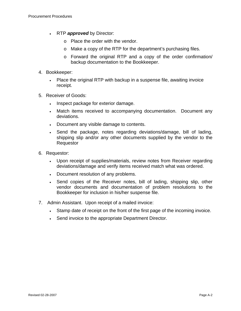- RTP *approved* by Director:
	- o Place the order with the vendor.
	- o Make a copy of the RTP for the department's purchasing files.
	- o Forward the original RTP and a copy of the order confirmation/ backup documentation to the Bookkeeper.
- 4. Bookkeeper:
	- Place the original RTP with backup in a suspense file, awaiting invoice receipt.
- 5. Receiver of Goods:
	- Inspect package for exterior damage.
	- Match items received to accompanying documentation. Document any deviations.
	- Document any visible damage to contents.
	- Send the package, notes regarding deviations/damage, bill of lading, shipping slip and/or any other documents supplied by the vendor to the Requestor
- 6. Requestor:
	- Upon receipt of supplies/materials, review notes from Receiver regarding deviations/damage and verify items received match what was ordered.
	- Document resolution of any problems.
	- Send copies of the Receiver notes, bill of lading, shipping slip, other vendor documents and documentation of problem resolutions to the Bookkeeper for inclusion in his/her suspense file.
- 7. Admin Assistant. Upon receipt of a mailed invoice:
	- Stamp date of receipt on the front of the first page of the incoming invoice.
	- Send invoice to the appropriate Department Director.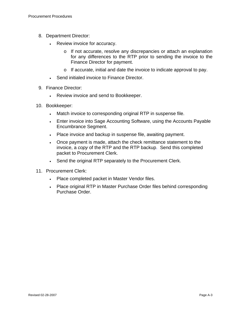- 8. Department Director:
	- Review invoice for accuracy.
		- o If not accurate, resolve any discrepancies or attach an explanation for any differences to the RTP prior to sending the invoice to the Finance Director for payment.
		- o If accurate, initial and date the invoice to indicate approval to pay.
	- Send initialed invoice to Finance Director.
- 9. Finance Director:
	- Review invoice and send to Bookkeeper.
- 10. Bookkeeper:
	- Match invoice to corresponding original RTP in suspense file.
	- Enter invoice into Sage Accounting Software, using the Accounts Payable Encumbrance Segment.
	- Place invoice and backup in suspense file, awaiting payment.
	- Once payment is made, attach the check remittance statement to the invoice, a *copy* of the RTP and the RTP backup. Send this completed packet to Procurement Clerk.
	- Send the original RTP separately to the Procurement Clerk.
- 11. Procurement Clerk:
	- Place completed packet in Master Vendor files.
	- Place original RTP in Master Purchase Order files behind corresponding Purchase Order.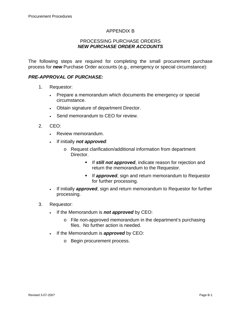### APPENDIX B

#### PROCESSING PURCHASE ORDERS *NEW PURCHASE ORDER ACCOUNTS*

The following steps are required for completing the small procurement purchase process for *new* Purchase Order accounts (e.g., emergency or special circumstance):

#### *PRE-APPROVAL OF PURCHASE:*

- 1. Requestor:
	- Prepare a memorandum which documents the emergency or special circumstance.
	- Obtain signature of department Director.
	- Send memorandum to CEO for review.
- 2. CEO:
	- Review memorandum.
	- If initially *not approved*:
		- o Request clarification/additional information from department Director.
			- **If still not approved, indicate reason for rejection and** return the memorandum to the Requestor.
			- **If approved**, sign and return memorandum to Requestor for further processing.
	- If initially *approved*, sign and return memorandum to Requestor for further processing.
- 3. Requestor:
	- If the Memorandum is *not approved* by CEO:
		- o File non-approved memorandum in the department's purchasing files. No further action is needed.
	- If the Memorandum is *approved* by CEO:
		- o Begin procurement process.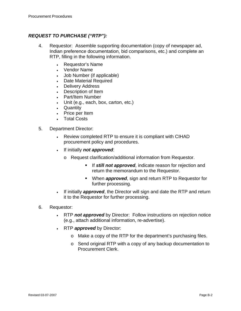## *REQUEST TO PURCHASE ("RTP"):*

- 4. Requestor: Assemble supporting documentation (copy of newspaper ad, Indian preference documentation, bid comparisons, etc.) and complete an RTP, filling in the following information.
	- Requestor's Name
	- Vendor Name
	- Job Number (if applicable)
	- Date Material Required
	- Delivery Address
	- Description of Item
	- Part/Item Number
	- Unit (e.g., each, box, carton, etc.)
	- Quantity
	- Price per Item
	- **Total Costs**
- 5. Department Director:
	- Review completed RTP to ensure it is compliant with CIHAD procurement policy and procedures.
	- If initially *not approved*:
		- o Request clarification/additional information from Requestor.
			- **If still not approved, indicate reason for rejection and** return the memorandum to the Requestor.
			- When *approved*, sign and return RTP to Requestor for further processing.
	- If initially *approved*, the Director will sign and date the RTP and return it to the Requestor for further processing.
- 6. Requestor:
	- RTP *not approved* by Director: Follow instructions on rejection notice (e.g., attach additional information, re-advertise).
	- RTP *approved* by Director:
		- o Make a copy of the RTP for the department's purchasing files.
		- o Send original RTP with a copy of any backup documentation to Procurement Clerk.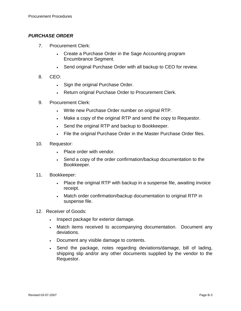### *PURCHASE ORDER*

- 7. Procurement Clerk:
	- Create a Purchase Order in the Sage Accounting program Encumbrance Segment.
	- Send original Purchase Order with all backup to CEO for review.
- 8. CEO:
	- Sign the original Purchase Order.
	- Return original Purchase Order to Procurement Clerk.
- 9. Procurement Clerk:
	- Write new Purchase Order number on original RTP.
	- Make a copy of the original RTP and send the copy to Requestor.
	- Send the original RTP and backup to Bookkeeper.
	- File the original Purchase Order in the Master Purchase Order files.
- 10. Requestor:
	- Place order with vendor.
	- Send a copy of the order confirmation/backup documentation to the Bookkeeper.
- 11. Bookkeeper:
	- Place the original RTP with backup in a suspense file, awaiting invoice receipt.
	- Match order confirmation/backup documentation to original RTP in suspense file.
- 12. Receiver of Goods:
	- Inspect package for exterior damage.
	- Match items received to accompanying documentation. Document any deviations.
	- Document any visible damage to contents.
	- Send the package, notes regarding deviations/damage, bill of lading, shipping slip and/or any other documents supplied by the vendor to the Requestor.